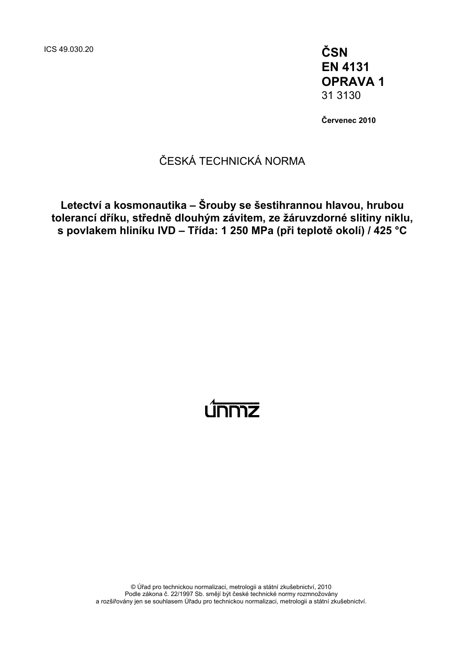ICS 49.030.20 **ČSN EN 4131 OPRAVA 1**  31 3130

**Červenec 2010** 

### ČESKÁ TECHNICKÁ NORMA

**Letectví a kosmonautika – Šrouby se šestihrannou hlavou, hrubou tolerancí dříku, středně dlouhým závitem, ze žáruvzdorné slitiny niklu, s povlakem hliníku IVD – Třída: 1 250 MPa (při teplotě okolí) / 425 °C** 

# <u>únmz</u>

© Úřad pro technickou normalizaci, metrologii a státní zkušebnictví, 2010 Podle zákona č. 22/1997 Sb. smějí být české technické normy rozmnožovány a rozšiřovány jen se souhlasem Úřadu pro technickou normalizaci, metrologii a státní zkušebnictví.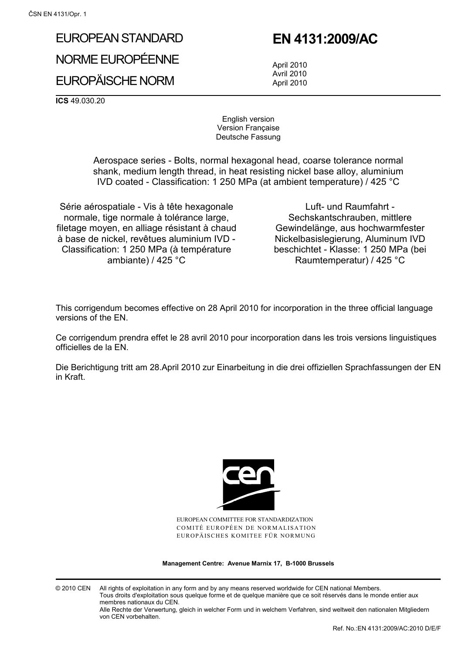# EUROPEAN STANDARD NORME EUROPÉENNE EUROPÄISCHE NORM

## **EN 4131:2009/AC**

 April 2010 Avril 2010 April 2010

**ICS** 49.030.20

English version Version Française Deutsche Fassung

 Aerospace series - Bolts, normal hexagonal head, coarse tolerance normal shank, medium length thread, in heat resisting nickel base alloy, aluminium IVD coated - Classification: 1 250 MPa (at ambient temperature) / 425 °C

Série aérospatiale - Vis à tête hexagonale normale, tige normale à tolérance large. filetage moyen, en alliage résistant à chaud à base de nickel, revêtues aluminium IVD - Classification: 1 250 MPa (à température ambiante) / 425 °C

Luft- und Raumfahrt - Sechskantschrauben, mittlere Gewindelänge, aus hochwarmfester Nickelbasislegierung, Aluminum IVD beschichtet - Klasse: 1 250 MPa (bei Raumtemperatur) / 425 °C

This corrigendum becomes effective on 28 April 2010 for incorporation in the three official language versions of the EN.

Ce corrigendum prendra effet le 28 avril 2010 pour incorporation dans les trois versions linguistiques officielles de la EN.

Die Berichtigung tritt am 28.April 2010 zur Einarbeitung in die drei offiziellen Sprachfassungen der EN in Kraft.



EUROPEAN COMMITTEE FOR STANDARDIZATION COMITÉ EUROPÉEN DE NORMALISATION EUROPÄISCHES KOMITEE FÜR NORMUNG

**Management Centre: Avenue Marnix 17, B-1000 Brussels** 

© 2010 CEN All rights of exploitation in any form and by any means reserved worldwide for CEN national Members. Tous droits d'exploitation sous quelque forme et de quelque manière que ce soit réservés dans le monde entier aux membres nationaux du CEN.

Alle Rechte der Verwertung, gleich in welcher Form und in welchem Verfahren, sind weltweit den nationalen Mitgliedern von CEN vorbehalten.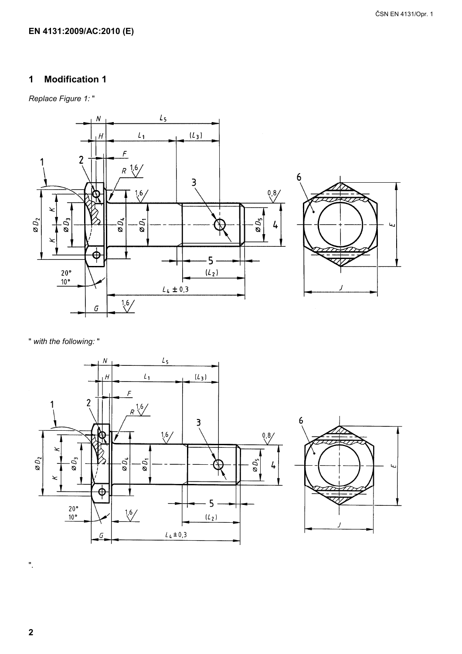#### EN 4131:2009/AC:2010 (E)

#### **Modification 1**  $\mathbf 1$

Replace Figure 1:"



" with the following: "





 $\mathbf 2$ 

 $\overline{\mathbf{u}}$